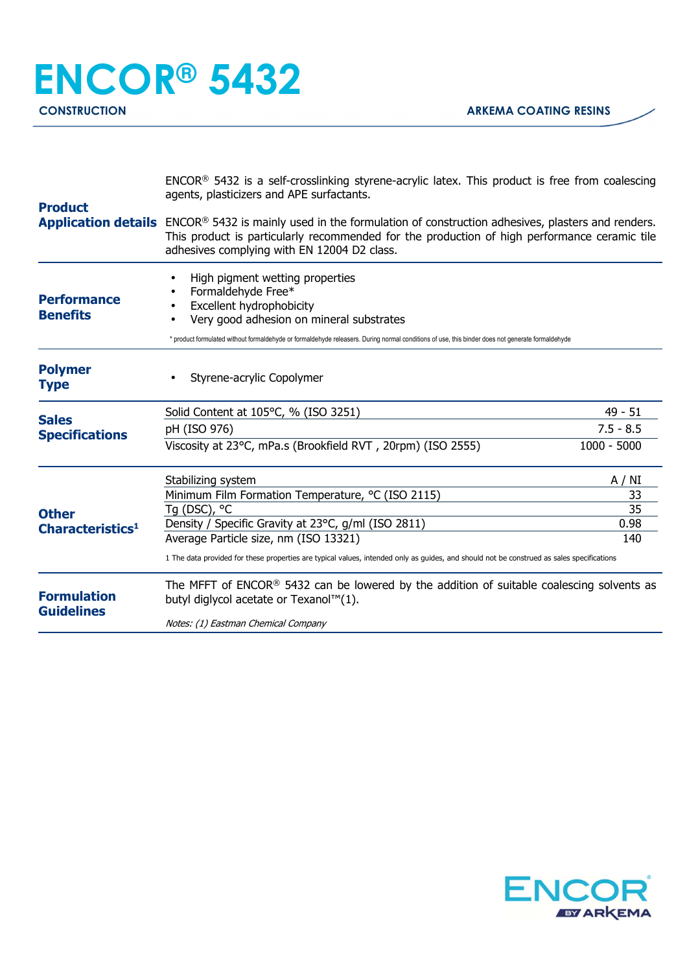| <b>Product</b>                               | $ENCOR®$ 5432 is a self-crosslinking styrene-acrylic latex. This product is free from coalescing<br>agents, plasticizers and APE surfactants.                                                                                                                     |               |  |
|----------------------------------------------|-------------------------------------------------------------------------------------------------------------------------------------------------------------------------------------------------------------------------------------------------------------------|---------------|--|
|                                              | Application details ENCOR® 5432 is mainly used in the formulation of construction adhesives, plasters and renders.<br>This product is particularly recommended for the production of high performance ceramic tile<br>adhesives complying with EN 12004 D2 class. |               |  |
| <b>Performance</b><br><b>Benefits</b>        | High pigment wetting properties<br>Formaldehyde Free*<br><b>Excellent hydrophobicity</b><br>Very good adhesion on mineral substrates                                                                                                                              |               |  |
|                                              | * product formulated without formaldehyde or formaldehyde releasers. During normal conditions of use, this binder does not generate formaldehyde                                                                                                                  |               |  |
| <b>Polymer</b><br><b>Type</b>                | Styrene-acrylic Copolymer                                                                                                                                                                                                                                         |               |  |
| <b>Sales</b>                                 | Solid Content at 105°C, % (ISO 3251)                                                                                                                                                                                                                              | 49 - 51       |  |
| <b>Specifications</b>                        | pH (ISO 976)                                                                                                                                                                                                                                                      | $7.5 - 8.5$   |  |
| <b>Other</b><br>Characteristics <sup>1</sup> | Viscosity at 23°C, mPa.s (Brookfield RVT, 20rpm) (ISO 2555)                                                                                                                                                                                                       | $1000 - 5000$ |  |
|                                              | Stabilizing system                                                                                                                                                                                                                                                | A / NI        |  |
|                                              | Minimum Film Formation Temperature, °C (ISO 2115)                                                                                                                                                                                                                 | 33            |  |
|                                              | Tg (DSC), °C                                                                                                                                                                                                                                                      | 35            |  |
|                                              | Density / Specific Gravity at 23°C, g/ml (ISO 2811)                                                                                                                                                                                                               | 0.98          |  |
|                                              | Average Particle size, nm (ISO 13321)<br>140<br>1 The data provided for these properties are typical values, intended only as guides, and should not be construed as sales specifications                                                                         |               |  |
| <b>Formulation</b><br><b>Guidelines</b>      | The MFFT of ENCOR <sup>®</sup> 5432 can be lowered by the addition of suitable coalescing solvents as<br>butyl diglycol acetate or Texanol™(1).                                                                                                                   |               |  |
|                                              | Notes: (1) Eastman Chemical Company                                                                                                                                                                                                                               |               |  |